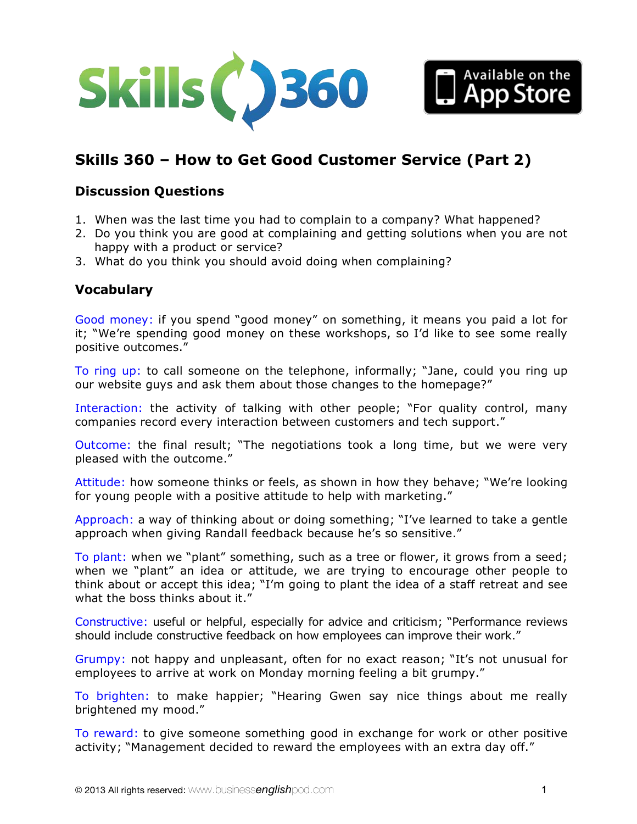



# **Discussion Questions**

- 1. When was the last time you had to complain to a company? What happened?
- 2. Do you think you are good at complaining and getting solutions when you are not happy with a product or service?
- 3. What do you think you should avoid doing when complaining?

## **Vocabulary**

Good money: if you spend "good money" on something, it means you paid a lot for it; "We're spending good money on these workshops, so I'd like to see some really positive outcomes."

To ring up: to call someone on the telephone, informally; "Jane, could you ring up our website guys and ask them about those changes to the homepage?"

Interaction: the activity of talking with other people; "For quality control, many companies record every interaction between customers and tech support."

Outcome: the final result; "The negotiations took a long time, but we were very pleased with the outcome."

Attitude: how someone thinks or feels, as shown in how they behave; "We're looking for young people with a positive attitude to help with marketing."

Approach: a way of thinking about or doing something; "I've learned to take a gentle approach when giving Randall feedback because he's so sensitive."

To plant: when we "plant" something, such as a tree or flower, it grows from a seed; when we "plant" an idea or attitude, we are trying to encourage other people to think about or accept this idea; "I'm going to plant the idea of a staff retreat and see what the boss thinks about it."

Constructive: useful or helpful, especially for advice and criticism; "Performance reviews should include constructive feedback on how employees can improve their work."

Grumpy: not happy and unpleasant, often for no exact reason; "It's not unusual for employees to arrive at work on Monday morning feeling a bit grumpy."

To brighten: to make happier; "Hearing Gwen say nice things about me really brightened my mood."

To reward: to give someone something good in exchange for work or other positive activity; "Management decided to reward the employees with an extra day off."

Available on the **App Store**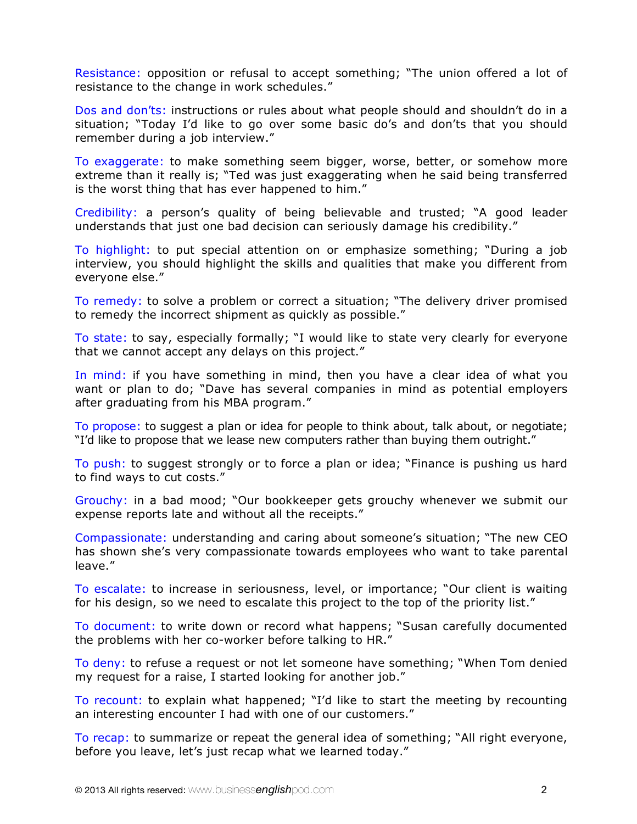Resistance: opposition or refusal to accept something; "The union offered a lot of resistance to the change in work schedules."

Dos and don'ts: instructions or rules about what people should and shouldn't do in a situation; "Today I'd like to go over some basic do's and don'ts that you should remember during a job interview."

To exaggerate: to make something seem bigger, worse, better, or somehow more extreme than it really is; "Ted was just exaggerating when he said being transferred is the worst thing that has ever happened to him."

Credibility: a person's quality of being believable and trusted; "A good leader understands that just one bad decision can seriously damage his credibility."

To highlight: to put special attention on or emphasize something; "During a job interview, you should highlight the skills and qualities that make you different from everyone else."

To remedy: to solve a problem or correct a situation; "The delivery driver promised to remedy the incorrect shipment as quickly as possible."

To state: to say, especially formally; "I would like to state very clearly for everyone that we cannot accept any delays on this project."

In mind: if you have something in mind, then you have a clear idea of what you want or plan to do; "Dave has several companies in mind as potential employers after graduating from his MBA program."

To propose: to suggest a plan or idea for people to think about, talk about, or negotiate; "I'd like to propose that we lease new computers rather than buying them outright."

To push: to suggest strongly or to force a plan or idea; "Finance is pushing us hard to find ways to cut costs."

Grouchy: in a bad mood; "Our bookkeeper gets grouchy whenever we submit our expense reports late and without all the receipts."

Compassionate: understanding and caring about someone's situation; "The new CEO has shown she's very compassionate towards employees who want to take parental leave."

To escalate: to increase in seriousness, level, or importance; "Our client is waiting for his design, so we need to escalate this project to the top of the priority list."

To document: to write down or record what happens; "Susan carefully documented the problems with her co-worker before talking to HR."

To deny: to refuse a request or not let someone have something; "When Tom denied my request for a raise, I started looking for another job."

To recount: to explain what happened; "I'd like to start the meeting by recounting an interesting encounter I had with one of our customers."

To recap: to summarize or repeat the general idea of something; "All right everyone, before you leave, let's just recap what we learned today."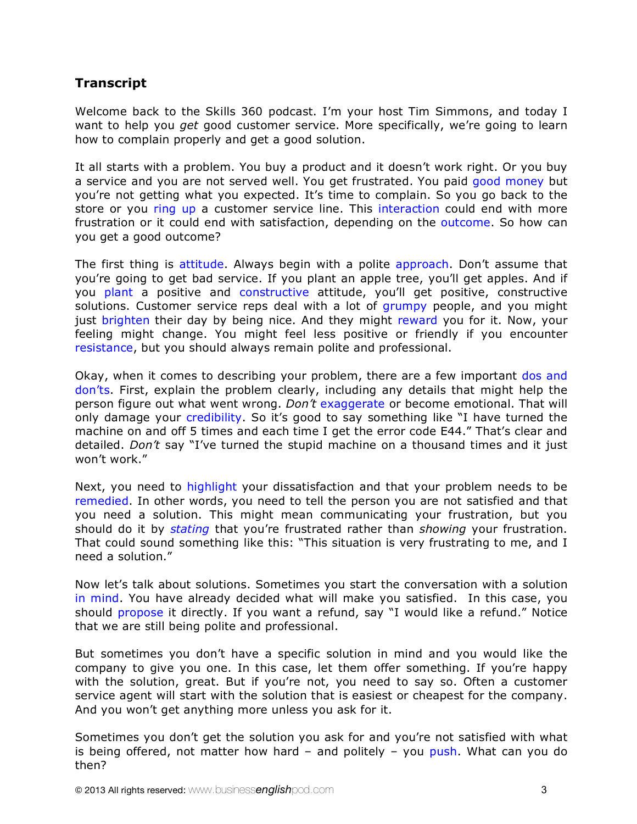# **Transcript**

Welcome back to the Skills 360 podcast. I'm your host Tim Simmons, and today I want to help you *get* good customer service. More specifically, we're going to learn how to complain properly and get a good solution.

It all starts with a problem. You buy a product and it doesn't work right. Or you buy a service and you are not served well. You get frustrated. You paid good money but you're not getting what you expected. It's time to complain. So you go back to the store or you ring up a customer service line. This interaction could end with more frustration or it could end with satisfaction, depending on the outcome. So how can you get a good outcome?

The first thing is attitude. Always begin with a polite approach. Don't assume that you're going to get bad service. If you plant an apple tree, you'll get apples. And if you plant a positive and constructive attitude, you'll get positive, constructive solutions. Customer service reps deal with a lot of grumpy people, and you might just brighten their day by being nice. And they might reward you for it. Now, your feeling might change. You might feel less positive or friendly if you encounter resistance, but you should always remain polite and professional.

Okay, when it comes to describing your problem, there are a few important dos and don'ts. First, explain the problem clearly, including any details that might help the person figure out what went wrong. *Don't* exaggerate or become emotional. That will only damage your credibility. So it's good to say something like "I have turned the machine on and off 5 times and each time I get the error code E44." That's clear and detailed. *Don't* say "I've turned the stupid machine on a thousand times and it just won't work."

Next, you need to highlight your dissatisfaction and that your problem needs to be remedied. In other words, you need to tell the person you are not satisfied and that you need a solution. This might mean communicating your frustration, but you should do it by *stating* that you're frustrated rather than *showing* your frustration. That could sound something like this: "This situation is very frustrating to me, and I need a solution."

Now let's talk about solutions. Sometimes you start the conversation with a solution in mind. You have already decided what will make you satisfied. In this case, you should propose it directly. If you want a refund, say "I would like a refund." Notice that we are still being polite and professional.

But sometimes you don't have a specific solution in mind and you would like the company to give you one. In this case, let them offer something. If you're happy with the solution, great. But if you're not, you need to say so. Often a customer service agent will start with the solution that is easiest or cheapest for the company. And you won't get anything more unless you ask for it.

Sometimes you don't get the solution you ask for and you're not satisfied with what is being offered, not matter how hard  $-$  and politely  $-$  you push. What can you do then?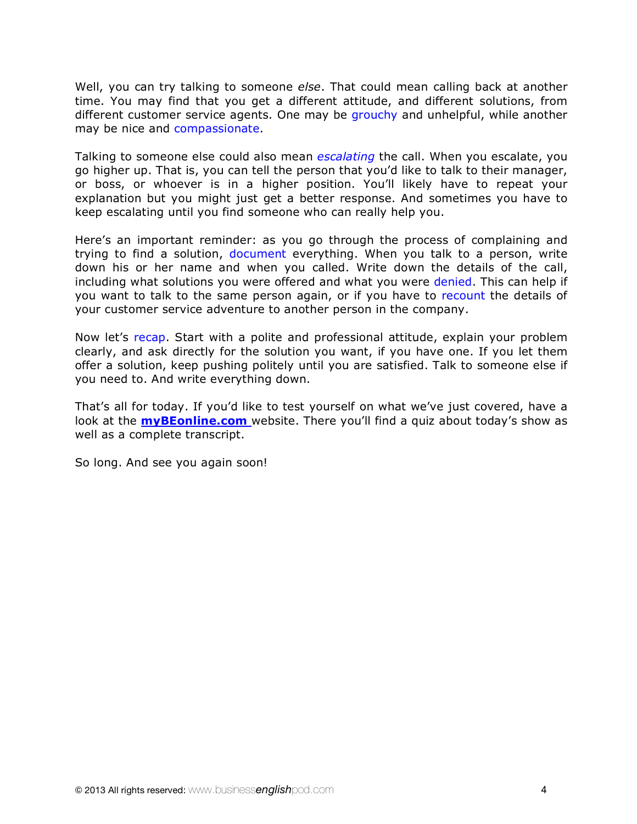Well, you can try talking to someone *else*. That could mean calling back at another time. You may find that you get a different attitude, and different solutions, from different customer service agents. One may be grouchy and unhelpful, while another may be nice and compassionate.

Talking to someone else could also mean *escalating* the call. When you escalate, you go higher up. That is, you can tell the person that you'd like to talk to their manager, or boss, or whoever is in a higher position. You'll likely have to repeat your explanation but you might just get a better response. And sometimes you have to keep escalating until you find someone who can really help you.

Here's an important reminder: as you go through the process of complaining and trying to find a solution, document everything. When you talk to a person, write down his or her name and when you called. Write down the details of the call, including what solutions you were offered and what you were denied. This can help if you want to talk to the same person again, or if you have to recount the details of your customer service adventure to another person in the company.

Now let's recap. Start with a polite and professional attitude, explain your problem clearly, and ask directly for the solution you want, if you have one. If you let them offer a solution, keep pushing politely until you are satisfied. Talk to someone else if you need to. And write everything down.

That's all for today. If you'd like to test yourself on what we've just covered, have a look at the **myBEonline.com** website. There you'll find a quiz about today's show as well as a complete transcript.

So long. And see you again soon!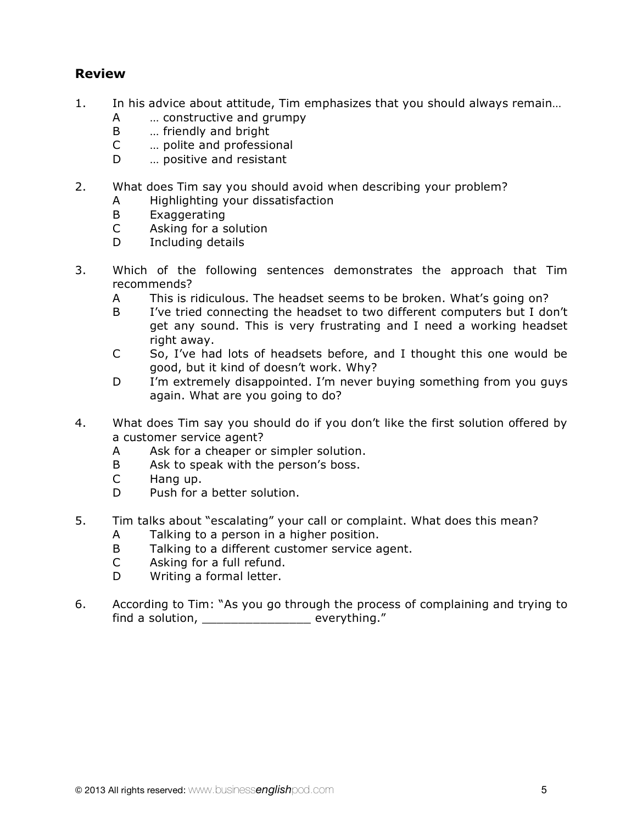# **Review**

- 1. In his advice about attitude, Tim emphasizes that you should always remain…
	- A … constructive and grumpy
	- B … friendly and bright
	- C … polite and professional
	- D ... positive and resistant
- 2. What does Tim say you should avoid when describing your problem?
	- A Highlighting your dissatisfaction
	- B Exaggerating
	- C Asking for a solution
	- D Including details
- 3. Which of the following sentences demonstrates the approach that Tim recommends?
	- A This is ridiculous. The headset seems to be broken. What's going on?
	- B I've tried connecting the headset to two different computers but I don't get any sound. This is very frustrating and I need a working headset right away.
	- C So, I've had lots of headsets before, and I thought this one would be good, but it kind of doesn't work. Why?
	- D I'm extremely disappointed. I'm never buying something from you guys again. What are you going to do?
- 4. What does Tim say you should do if you don't like the first solution offered by a customer service agent?
	- A Ask for a cheaper or simpler solution.
	- B Ask to speak with the person's boss.
	- C Hang up.
	- D Push for a better solution.
- 5. Tim talks about "escalating" your call or complaint. What does this mean?
	- A Talking to a person in a higher position.
	- B Talking to a different customer service agent.
	- C Asking for a full refund.
	- D Writing a formal letter.
- 6. According to Tim: "As you go through the process of complaining and trying to find a solution, example of the everything."